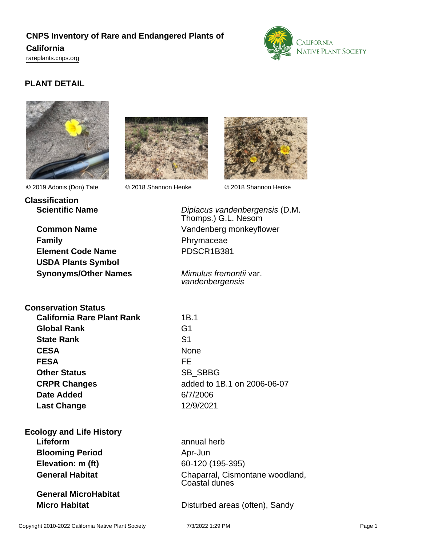# **CNPS Inventory of Rare and Endangered Plants of**

#### **California**

<rareplants.cnps.org>



## **PLANT DETAIL**





© 2019 Adonis (Don) Tate © 2018 Shannon Henke © 2018 Shannon Henke

**Classification**

**Family Phrymaceae Element Code Name** PDSCR1B381 **USDA Plants Symbol Synonyms/Other Names** Mimulus fremontii var.



**Scientific Name Diplacus vandenbergensis (D.M.** Thomps.) G.L. Nesom **Common Name** Vandenberg monkeyflower

vandenbergensis

**Conservation Status California Rare Plant Rank** 1B.1 **Global Rank** G1 **State Rank** S1 CESA None **FESA** FE **Other Status** SB\_SBBG **CRPR Changes** added to 1B.1 on 2006-06-07 **Date Added** 6/7/2006 **Last Change** 12/9/2021

**Ecology and Life History Lifeform** annual herb **Blooming Period** Apr-Jun **Elevation: m (ft)** 60-120 (195-395)

**General MicroHabitat**

General Habitat **Chaparral, Cismontane woodland,** Coastal dunes

**Micro Habitat Micro Habitat Disturbed areas (often), Sandy**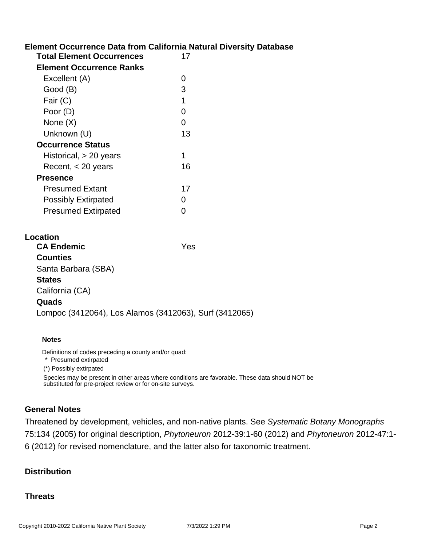### **Element Occurrence Data from California Natural Diversity Database**

| <b>Total Element Occurrences</b> | 17 |  |  |
|----------------------------------|----|--|--|
| Element Occurrence Ranks         |    |  |  |
| Excellent (A)                    | O  |  |  |
| Good (B)                         | З  |  |  |
| Fair (C)                         | 1  |  |  |
| Poor (D)                         | O  |  |  |
| None (X)                         | 0  |  |  |
| Unknown (U)                      | 13 |  |  |
| Occurrence Status                |    |  |  |
| Historical, > 20 years           |    |  |  |
| Recent, $<$ 20 years             | 16 |  |  |
| <b>Presence</b>                  |    |  |  |
| <b>Presumed Extant</b>           | 17 |  |  |
| <b>Possibly Extirpated</b>       | 0  |  |  |
| <b>Presumed Extirpated</b>       |    |  |  |

| Location                                               |     |
|--------------------------------------------------------|-----|
| <b>CA Endemic</b>                                      | Yes |
| <b>Counties</b>                                        |     |
| Santa Barbara (SBA)                                    |     |
| <b>States</b>                                          |     |
| California (CA)                                        |     |
| Quads                                                  |     |
| Lompoc (3412064), Los Alamos (3412063), Surf (3412065) |     |
|                                                        |     |

#### **Notes**

Definitions of codes preceding a county and/or quad:

\* Presumed extirpated

(\*) Possibly extirpated

Species may be present in other areas where conditions are favorable. These data should NOT be substituted for pre-project review or for on-site surveys.

#### **General Notes**

Threatened by development, vehicles, and non-native plants. See Systematic Botany Monographs 75:134 (2005) for original description, Phytoneuron 2012-39:1-60 (2012) and Phytoneuron 2012-47:1- 6 (2012) for revised nomenclature, and the latter also for taxonomic treatment.

#### **Distribution**

#### **Threats**